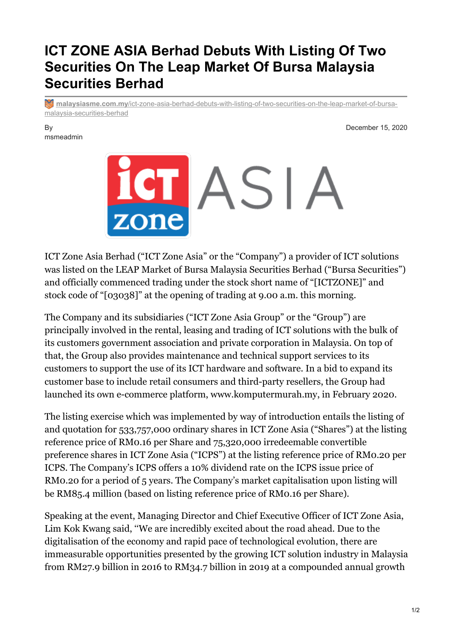## **ICT ZONE ASIA Berhad Debuts With Listing Of Two Securities On The Leap Market Of Bursa Malaysia Securities Berhad**

**Multimalaysiasme.com.my**[/ict-zone-asia-berhad-debuts-with-listing-of-two-securities-on-the-leap-market-of-bursa](https://www.malaysiasme.com.my/ict-zone-asia-berhad-debuts-with-listing-of-two-securities-on-the-leap-market-of-bursa-malaysia-securities-berhad/)malaysia-securities-berhad

## By msmeadmin

December 15, 2020



ICT Zone Asia Berhad ("ICT Zone Asia" or the "Company") a provider of ICT solutions was listed on the LEAP Market of Bursa Malaysia Securities Berhad ("Bursa Securities") and officially commenced trading under the stock short name of "[ICTZONE]" and stock code of "[03038]" at the opening of trading at 9.00 a.m. this morning.

The Company and its subsidiaries ("ICT Zone Asia Group" or the "Group") are principally involved in the rental, leasing and trading of ICT solutions with the bulk of its customers government association and private corporation in Malaysia. On top of that, the Group also provides maintenance and technical support services to its customers to support the use of its ICT hardware and software. In a bid to expand its customer base to include retail consumers and third-party resellers, the Group had launched its own e-commerce platform, www.komputermurah.my, in February 2020.

The listing exercise which was implemented by way of introduction entails the listing of and quotation for 533,757,000 ordinary shares in ICT Zone Asia ("Shares") at the listing reference price of RM0.16 per Share and 75,320,000 irredeemable convertible preference shares in ICT Zone Asia ("ICPS") at the listing reference price of RM0.20 per ICPS. The Company's ICPS offers a 10% dividend rate on the ICPS issue price of RM0.20 for a period of 5 years. The Company's market capitalisation upon listing will be RM85.4 million (based on listing reference price of RM0.16 per Share).

Speaking at the event, Managing Director and Chief Executive Officer of ICT Zone Asia, Lim Kok Kwang said, ''We are incredibly excited about the road ahead. Due to the digitalisation of the economy and rapid pace of technological evolution, there are immeasurable opportunities presented by the growing ICT solution industry in Malaysia from RM27.9 billion in 2016 to RM34.7 billion in 2019 at a compounded annual growth